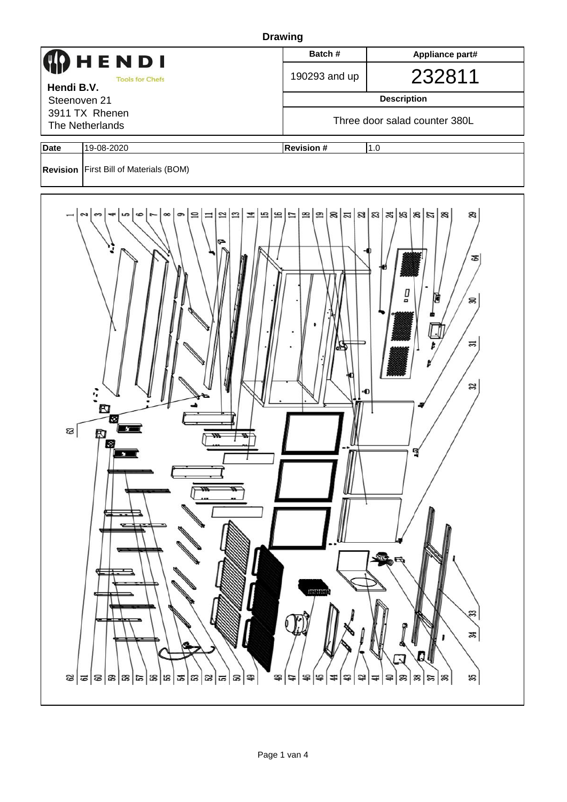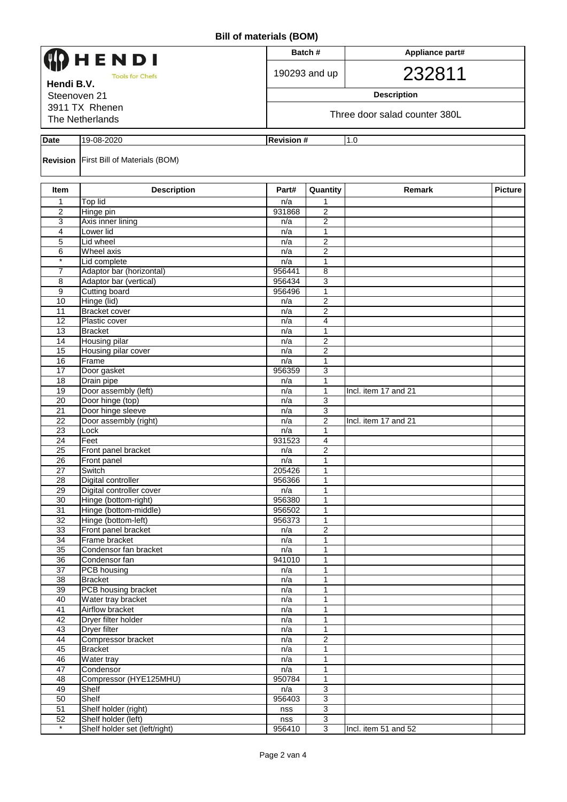| HENDI<br><b>Tools for Chefs</b><br>Hendi B.V.<br>Steenoven 21<br>3911 TX Rhenen |                                                      |                   | Batch#                           | Appliance part#<br>232811 |                |  |  |  |
|---------------------------------------------------------------------------------|------------------------------------------------------|-------------------|----------------------------------|---------------------------|----------------|--|--|--|
|                                                                                 |                                                      |                   | 190293 and up                    |                           |                |  |  |  |
|                                                                                 |                                                      |                   | <b>Description</b>               |                           |                |  |  |  |
|                                                                                 |                                                      |                   |                                  |                           |                |  |  |  |
| The Netherlands                                                                 |                                                      |                   | Three door salad counter 380L    |                           |                |  |  |  |
|                                                                                 |                                                      |                   |                                  |                           |                |  |  |  |
| <b>Date</b>                                                                     | 19-08-2020                                           | <b>Revision #</b> |                                  | 1.0                       |                |  |  |  |
|                                                                                 | <b>Revision First Bill of Materials (BOM)</b>        |                   |                                  |                           |                |  |  |  |
| <b>Item</b>                                                                     | <b>Description</b>                                   | Part#             | Quantity                         | Remark                    | <b>Picture</b> |  |  |  |
| 1                                                                               | Top lid                                              | n/a               | 1                                |                           |                |  |  |  |
| 2                                                                               | Hinge pin                                            | 931868            | 2                                |                           |                |  |  |  |
| 3                                                                               | Axis inner lining                                    | n/a               | $\overline{c}$                   |                           |                |  |  |  |
| 4<br>5                                                                          | Lower lid<br>Lid wheel                               | n/a<br>n/a        | 1<br>2                           |                           |                |  |  |  |
| 6                                                                               | Wheel axis                                           | n/a               | 2                                |                           |                |  |  |  |
| $\star$                                                                         | Lid complete                                         | n/a               | 1                                |                           |                |  |  |  |
| 7                                                                               | Adaptor bar (horizontal)                             | 956441            | 8                                |                           |                |  |  |  |
| 8                                                                               | Adaptor bar (vertical)                               | 956434            | 3                                |                           |                |  |  |  |
| 9                                                                               | <b>Cutting board</b>                                 | 956496            | 1                                |                           |                |  |  |  |
| 10                                                                              | Hinge (lid)                                          | n/a               | $\mathbf{2}$                     |                           |                |  |  |  |
| 11                                                                              | <b>Bracket cover</b>                                 | n/a               | 2                                |                           |                |  |  |  |
| 12                                                                              | Plastic cover                                        | n/a               | 4                                |                           |                |  |  |  |
| 13<br>14                                                                        | <b>Bracket</b>                                       | n/a               | 1<br>$\overline{2}$              |                           |                |  |  |  |
| 15                                                                              | Housing pilar<br>Housing pilar cover                 | n/a<br>n/a        | $\overline{a}$                   |                           |                |  |  |  |
| 16                                                                              | Frame                                                | n/a               | 1                                |                           |                |  |  |  |
| 17                                                                              | Door gasket                                          | 956359            | 3                                |                           |                |  |  |  |
| 18                                                                              | Drain pipe                                           | n/a               | 1                                |                           |                |  |  |  |
| 19                                                                              | Door assembly (left)                                 | n/a               | 1                                | Incl. item 17 and 21      |                |  |  |  |
| 20                                                                              | Door hinge (top)                                     | n/a               | 3                                |                           |                |  |  |  |
| 21                                                                              | Door hinge sleeve                                    | n/a               | 3                                |                           |                |  |  |  |
| 22                                                                              | Door assembly (right)                                | n/a               | 2                                | Incl. item 17 and 21      |                |  |  |  |
| 23<br>24                                                                        | Lock                                                 | n/a               | 1                                |                           |                |  |  |  |
| $\overline{25}$                                                                 | Feet<br>Front panel bracket                          | 931523<br>n/a     | 4<br>$\overline{2}$              |                           |                |  |  |  |
| $\overline{26}$                                                                 | Front panel                                          | n/a               | 1                                |                           |                |  |  |  |
| 27                                                                              | Switch                                               | 205426            | 1                                |                           |                |  |  |  |
| 28                                                                              | Digital controller                                   | 956366            | $\mathbf{1}$                     |                           |                |  |  |  |
| 29                                                                              | Digital controller cover                             | n/a               | $\mathbf{1}$                     |                           |                |  |  |  |
| 30                                                                              | Hinge (bottom-right)                                 | 956380            | $\mathbf{1}$                     |                           |                |  |  |  |
| 31                                                                              | Hinge (bottom-middle)                                | 956502            | 1                                |                           |                |  |  |  |
| 32<br>33                                                                        | Hinge (bottom-left)                                  | 956373            | 1<br>$\overline{2}$              |                           |                |  |  |  |
| 34                                                                              | Front panel bracket<br>Frame bracket                 | n/a<br>n/a        | 1                                |                           |                |  |  |  |
| 35                                                                              | Condensor fan bracket                                | n/a               | 1                                |                           |                |  |  |  |
| 36                                                                              | Condensor fan                                        | 941010            | 1                                |                           |                |  |  |  |
| 37                                                                              | PCB housing                                          | n/a               | $\mathbf{1}$                     |                           |                |  |  |  |
| 38                                                                              | <b>Bracket</b>                                       | n/a               | $\mathbf{1}$                     |                           |                |  |  |  |
| 39                                                                              | PCB housing bracket                                  | n/a               | 1                                |                           |                |  |  |  |
| 40                                                                              | Water tray bracket                                   | n/a               | 1                                |                           |                |  |  |  |
| 41                                                                              | Airflow bracket                                      | n/a               | $\mathbf{1}$                     |                           |                |  |  |  |
| 42<br>43                                                                        | Dryer filter holder<br><b>Dryer filter</b>           | n/a               | 1<br>1                           |                           |                |  |  |  |
| 44                                                                              | Compressor bracket                                   | n/a<br>n/a        | $\overline{2}$                   |                           |                |  |  |  |
| 45                                                                              | <b>Bracket</b>                                       | n/a               | 1                                |                           |                |  |  |  |
| 46                                                                              | Water tray                                           | n/a               | 1                                |                           |                |  |  |  |
| 47                                                                              | Condensor                                            | n/a               | 1                                |                           |                |  |  |  |
| 48                                                                              | Compressor (HYE125MHU)                               | 950784            | $\mathbf{1}$                     |                           |                |  |  |  |
| 49                                                                              | Shelf                                                | n/a               | $\overline{3}$                   |                           |                |  |  |  |
| 50                                                                              | Shelf                                                | 956403            | 3                                |                           |                |  |  |  |
| 51                                                                              | Shelf holder (right)                                 | nss               | 3                                |                           |                |  |  |  |
| 52<br>$\ast$                                                                    | Shelf holder (left)<br>Shelf holder set (left/right) | nss<br>956410     | $\overline{3}$<br>$\overline{3}$ | Incl. item 51 and 52      |                |  |  |  |
|                                                                                 |                                                      |                   |                                  |                           |                |  |  |  |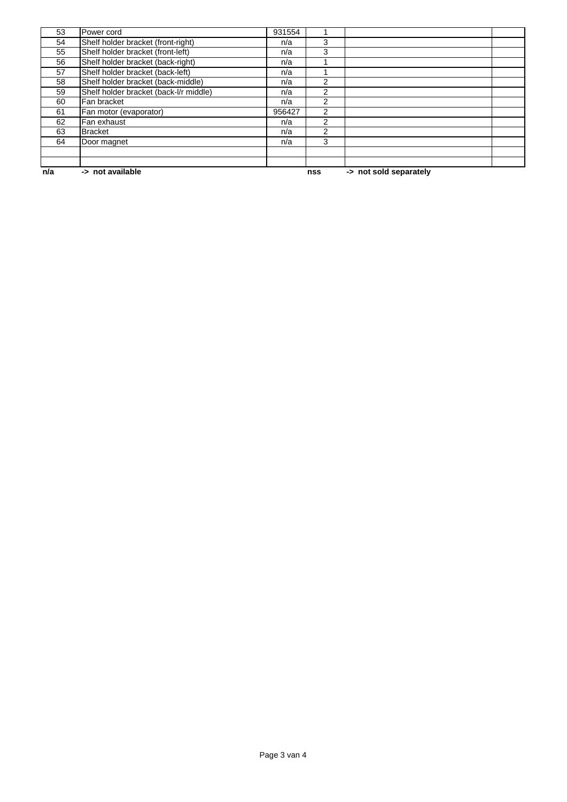| n/a | -> not available                       |        | nss            | -> not sold separately |  |
|-----|----------------------------------------|--------|----------------|------------------------|--|
|     |                                        |        |                |                        |  |
| 64  | Door magnet                            | n/a    | 3              |                        |  |
|     |                                        |        |                |                        |  |
| 63  | <b>Bracket</b>                         | n/a    | $\overline{2}$ |                        |  |
| 62  | Fan exhaust                            | n/a    | 2              |                        |  |
| 61  | Fan motor (evaporator)                 | 956427 | $\overline{c}$ |                        |  |
| 60  | Fan bracket                            | n/a    | 2              |                        |  |
| 59  | Shelf holder bracket (back-l/r middle) | n/a    | 2              |                        |  |
| 58  | Shelf holder bracket (back-middle)     | n/a    | $\mathfrak{p}$ |                        |  |
| 57  | Shelf holder bracket (back-left)       | n/a    |                |                        |  |
| 56  | Shelf holder bracket (back-right)      | n/a    |                |                        |  |
| 55  | Shelf holder bracket (front-left)      | n/a    | 3              |                        |  |
| 54  | Shelf holder bracket (front-right)     | n/a    | 3              |                        |  |
| 53  | Power cord                             | 931554 |                |                        |  |